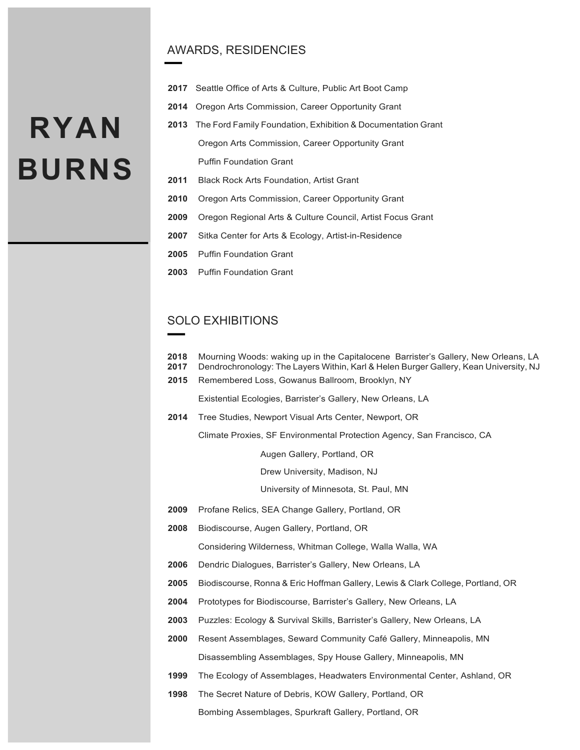# **RYAN BURNS**

# AWARDS, RESIDENCIES

- **2017** Seattle Office of Arts & Culture, Public Art Boot Camp
- **2014** Oregon Arts Commission, Career Opportunity Grant
- **2013** The Ford Family Foundation, Exhibition & Documentation Grant Oregon Arts Commission, Career Opportunity Grant Puffin Foundation Grant
- **2011** Black Rock Arts Foundation, Artist Grant
- **2010** Oregon Arts Commission, Career Opportunity Grant
- **2009** Oregon Regional Arts & Culture Council, Artist Focus Grant
- **2007** Sitka Center for Arts & Ecology, Artist-in-Residence
- **2005** Puffin Foundation Grant
- **2003** Puffin Foundation Grant

### SOLO EXHIBITIONS

- **2018** Mourning Woods: waking up in the Capitalocene Barrister's Gallery, New Orleans, LA
- **2017** Dendrochronology: The Layers Within, Karl & Helen Burger Gallery, Kean University, NJ
- **2015** Remembered Loss, Gowanus Ballroom, Brooklyn, NY Existential Ecologies, Barrister's Gallery, New Orleans, LA
	-
- **2014** Tree Studies, Newport Visual Arts Center, Newport, OR

Climate Proxies, SF Environmental Protection Agency, San Francisco, CA

Augen Gallery, Portland, OR

Drew University, Madison, NJ

University of Minnesota, St. Paul, MN

- **2009** Profane Relics, SEA Change Gallery, Portland, OR
- **2008** Biodiscourse, Augen Gallery, Portland, OR

Considering Wilderness, Whitman College, Walla Walla, WA

- **2006** Dendric Dialogues, Barrister's Gallery, New Orleans, LA
- **2005** Biodiscourse, Ronna & Eric Hoffman Gallery, Lewis & Clark College, Portland, OR
- **2004** Prototypes for Biodiscourse, Barrister's Gallery, New Orleans, LA
- **2003** Puzzles: Ecology & Survival Skills, Barrister's Gallery, New Orleans, LA
- **2000** Resent Assemblages, Seward Community Café Gallery, Minneapolis, MN Disassembling Assemblages, Spy House Gallery, Minneapolis, MN
- **1999** The Ecology of Assemblages, Headwaters Environmental Center, Ashland, OR
- **1998** The Secret Nature of Debris, KOW Gallery, Portland, OR Bombing Assemblages, Spurkraft Gallery, Portland, OR